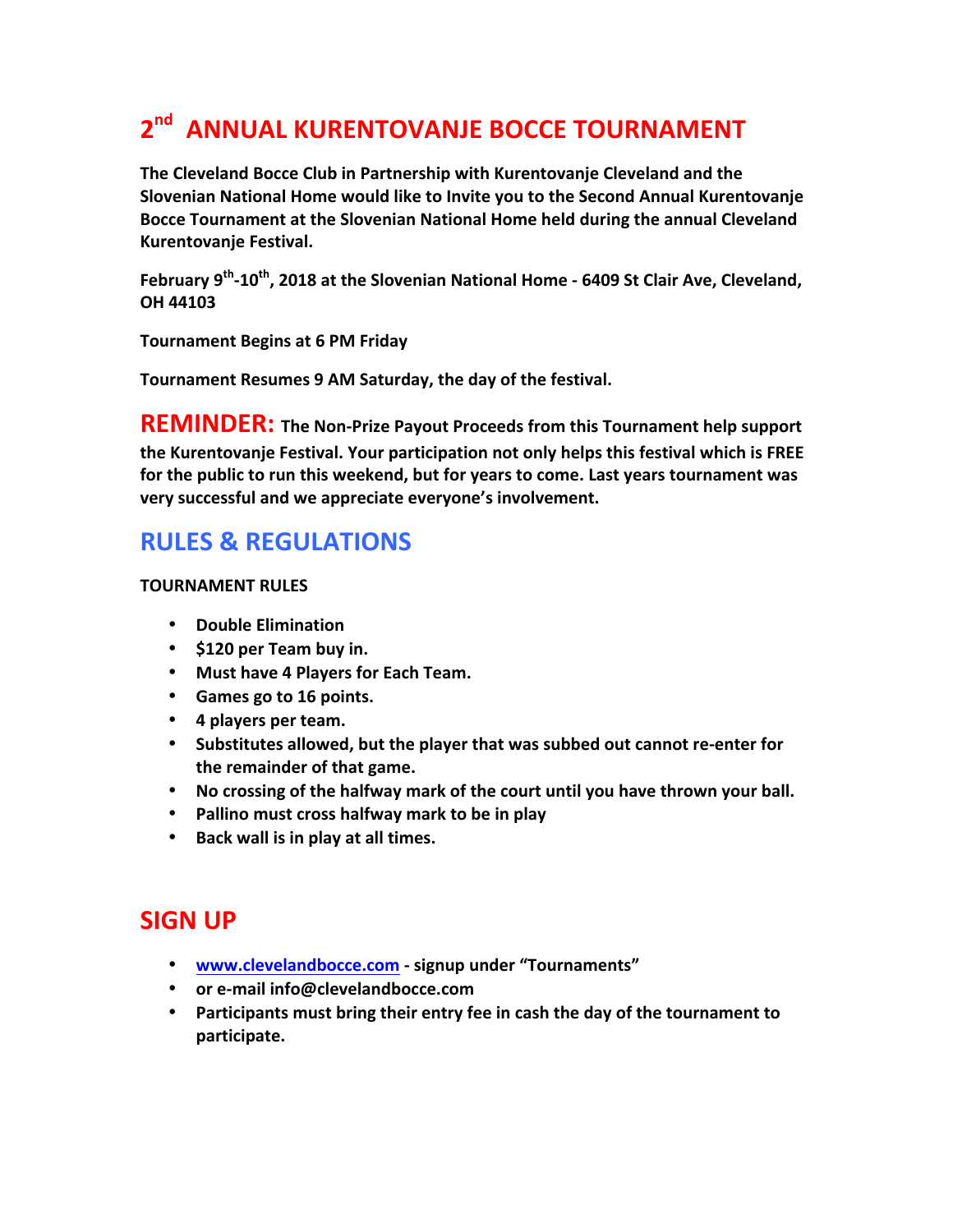## **2<sup>nd</sup> ANNUAL KURENTOVANJE BOCCE TOURNAMENT**

**The Cleveland Bocce Club in Partnership with Kurentovanje Cleveland and the Slovenian National Home would like to Invite you to the Second Annual Kurentovanje** Bocce Tournament at the Slovenian National Home held during the annual Cleveland **Kurentovanie Festival.** 

February 9<sup>th</sup>-10<sup>th</sup>, 2018 at the Slovenian National Home - 6409 St Clair Ave, Cleveland, **OH 44103**

**Tournament Begins at 6 PM Friday**

Tournament Resumes 9 AM Saturday, the day of the festival.

**REMINDER:** The Non-Prize Payout Proceeds from this Tournament help support the Kurentovanje Festival. Your participation not only helps this festival which is FREE for the public to run this weekend, but for years to come. Last years tournament was very successful and we appreciate everyone's involvement.

## **RULES & REGULATIONS**

## **TOURNAMENT RULES**

- **Double Elimination**
- **\$120 per Team buy in.**
- **Must have 4 Players for Each Team.**
- **Games go to 16 points.**
- **4 players per team.**
- Substitutes allowed, but the player that was subbed out cannot re-enter for **the remainder of that game.**
- No crossing of the halfway mark of the court until you have thrown your ball.
- Pallino must cross halfway mark to be in play
- **•** Back wall is in play at all times.

## **SIGN UP**

- $\bullet$  www.clevelandbocce.com signup under "Tournaments"
- **or e-mail info@clevelandbocce.com**
- Participants must bring their entry fee in cash the day of the tournament to **participate.**